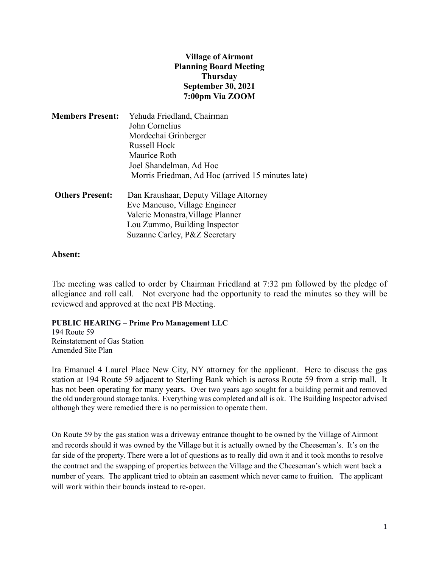## **Village of Airmont Planning Board Meeting Thursday September 30, 2021 7:00pm Via ZOOM**

| <b>Members Present:</b> | Yehuda Friedland, Chairman                                                                                                                       |
|-------------------------|--------------------------------------------------------------------------------------------------------------------------------------------------|
|                         | John Cornelius                                                                                                                                   |
|                         | Mordechai Grinberger                                                                                                                             |
|                         | <b>Russell Hock</b>                                                                                                                              |
|                         | Maurice Roth                                                                                                                                     |
|                         | Joel Shandelman, Ad Hoc                                                                                                                          |
|                         | Morris Friedman, Ad Hoc (arrived 15 minutes late)                                                                                                |
| <b>Others Present:</b>  | Dan Kraushaar, Deputy Village Attorney<br>$\mathbf{r}$ , $\mathbf{r}$ , $\mathbf{r}$ , $\mathbf{r}$ , $\mathbf{r}$ , $\mathbf{r}$ , $\mathbf{r}$ |

 Eve Mancuso, Village Engineer Valerie Monastra,Village Planner Lou Zummo, Building Inspector Suzanne Carley, P&Z Secretary

## **Absent:**

The meeting was called to order by Chairman Friedland at 7:32 pm followed by the pledge of allegiance and roll call. Not everyone had the opportunity to read the minutes so they will be reviewed and approved at the next PB Meeting.

**PUBLIC HEARING – Prime Pro Management LLC**

194 Route 59 Reinstatement of Gas Station Amended Site Plan

Ira Emanuel 4 Laurel Place New City, NY attorney for the applicant. Here to discuss the gas station at 194 Route 59 adjacent to Sterling Bank which is across Route 59 from a strip mall. It has not been operating for many years. Over two years ago sought for a building permit and removed the old underground storage tanks. Everything was completed and all is ok. The Building Inspector advised although they were remedied there is no permission to operate them.

On Route 59 by the gas station was a driveway entrance thought to be owned by the Village of Airmont and records should it was owned by the Village but it is actually owned by the Cheeseman's. It's on the far side of the property. There were a lot of questions as to really did own it and it took months to resolve the contract and the swapping of properties between the Village and the Cheeseman's which went back a number of years. The applicant tried to obtain an easement which never came to fruition. The applicant will work within their bounds instead to re-open.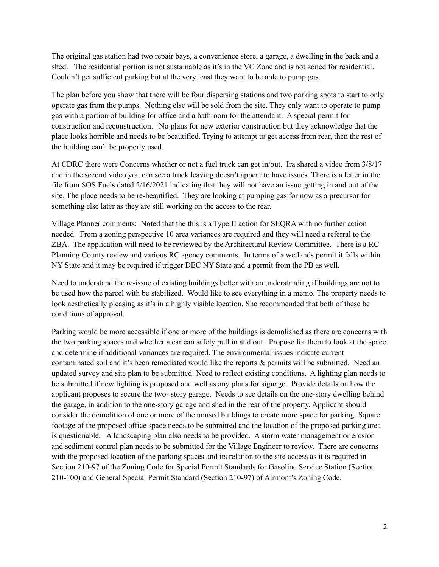The original gas station had two repair bays, a convenience store, a garage, a dwelling in the back and a shed. The residential portion is not sustainable as it's in the VC Zone and is not zoned for residential. Couldn't get sufficient parking but at the very least they want to be able to pump gas.

The plan before you show that there will be four dispersing stations and two parking spots to start to only operate gas from the pumps. Nothing else will be sold from the site. They only want to operate to pump gas with a portion of building for office and a bathroom for the attendant. A special permit for construction and reconstruction. No plans for new exterior construction but they acknowledge that the place looks horrible and needs to be beautified. Trying to attempt to get access from rear, then the rest of the building can't be properly used.

At CDRC there were Concerns whether or not a fuel truck can get in/out. Ira shared a video from 3/8/17 and in the second video you can see a truck leaving doesn't appear to have issues. There is a letter in the file from SOS Fuels dated 2/16/2021 indicating that they will not have an issue getting in and out of the site. The place needs to be re-beautified. They are looking at pumping gas for now as a precursor for something else later as they are still working on the access to the rear.

Village Planner comments: Noted that the this is a Type II action for SEQRA with no further action needed. From a zoning perspective 10 area variances are required and they will need a referral to the ZBA. The application will need to be reviewed by the Architectural Review Committee. There is a RC Planning County review and various RC agency comments. In terms of a wetlands permit it falls within NY State and it may be required if trigger DEC NY State and a permit from the PB as well.

Need to understand the re-issue of existing buildings better with an understanding if buildings are not to be used how the parcel with be stabilized. Would like to see everything in a memo. The property needs to look aesthetically pleasing as it's in a highly visible location. She recommended that both of these be conditions of approval.

Parking would be more accessible if one or more of the buildings is demolished as there are concerns with the two parking spaces and whether a car can safely pull in and out. Propose for them to look at the space and determine if additional variances are required. The environmental issues indicate current contaminated soil and it's been remediated would like the reports & permits will be submitted. Need an updated survey and site plan to be submitted. Need to reflect existing conditions. A lighting plan needs to be submitted if new lighting is proposed and well as any plans for signage. Provide details on how the applicant proposes to secure the two- story garage. Needs to see details on the one-story dwelling behind the garage, in addition to the one-story garage and shed in the rear of the property. Applicant should consider the demolition of one or more of the unused buildings to create more space for parking. Square footage of the proposed office space needs to be submitted and the location of the proposed parking area is questionable. A landscaping plan also needs to be provided. A storm water management or erosion and sediment control plan needs to be submitted for the Village Engineer to review. There are concerns with the proposed location of the parking spaces and its relation to the site access as it is required in Section 210-97 of the Zoning Code for Special Permit Standards for Gasoline Service Station (Section 210-100) and General Special Permit Standard (Section 210-97) of Airmont's Zoning Code.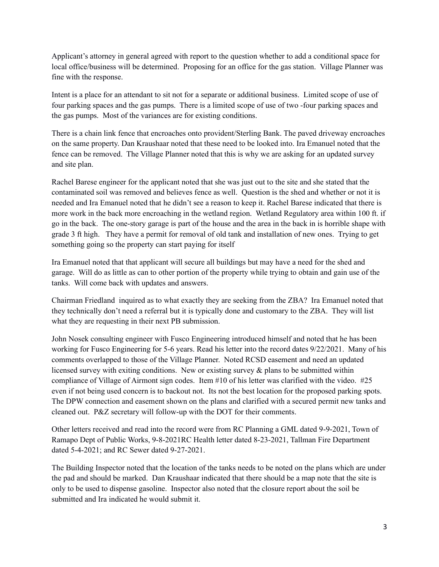Applicant's attorney in general agreed with report to the question whether to add a conditional space for local office/business will be determined. Proposing for an office for the gas station. Village Planner was fine with the response.

Intent is a place for an attendant to sit not for a separate or additional business. Limited scope of use of four parking spaces and the gas pumps. There is a limited scope of use of two -four parking spaces and the gas pumps. Most of the variances are for existing conditions.

There is a chain link fence that encroaches onto provident/Sterling Bank. The paved driveway encroaches on the same property. Dan Kraushaar noted that these need to be looked into. Ira Emanuel noted that the fence can be removed. The Village Planner noted that this is why we are asking for an updated survey and site plan.

Rachel Barese engineer for the applicant noted that she was just out to the site and she stated that the contaminated soil was removed and believes fence as well. Question is the shed and whether or not it is needed and Ira Emanuel noted that he didn't see a reason to keep it. Rachel Barese indicated that there is more work in the back more encroaching in the wetland region. Wetland Regulatory area within 100 ft. if go in the back. The one-story garage is part of the house and the area in the back in is horrible shape with grade 3 ft high. They have a permit for removal of old tank and installation of new ones. Trying to get something going so the property can start paying for itself

Ira Emanuel noted that that applicant will secure all buildings but may have a need for the shed and garage. Will do as little as can to other portion of the property while trying to obtain and gain use of the tanks. Will come back with updates and answers.

Chairman Friedland inquired as to what exactly they are seeking from the ZBA? Ira Emanuel noted that they technically don't need a referral but it is typically done and customary to the ZBA. They will list what they are requesting in their next PB submission.

John Nosek consulting engineer with Fusco Engineering introduced himself and noted that he has been working for Fusco Engineering for 5-6 years. Read his letter into the record dates 9/22/2021. Many of his comments overlapped to those of the Village Planner. Noted RCSD easement and need an updated licensed survey with exiting conditions. New or existing survey & plans to be submitted within compliance of Village of Airmont sign codes. Item #10 of his letter was clarified with the video. #25 even if not being used concern is to backout not. Its not the best location for the proposed parking spots. The DPW connection and easement shown on the plans and clarified with a secured permit new tanks and cleaned out. P&Z secretary will follow-up with the DOT for their comments.

Other letters received and read into the record were from RC Planning a GML dated 9-9-2021, Town of Ramapo Dept of Public Works, 9-8-2021RC Health letter dated 8-23-2021, Tallman Fire Department dated 5-4-2021; and RC Sewer dated 9-27-2021.

The Building Inspector noted that the location of the tanks needs to be noted on the plans which are under the pad and should be marked. Dan Kraushaar indicated that there should be a map note that the site is only to be used to dispense gasoline. Inspector also noted that the closure report about the soil be submitted and Ira indicated he would submit it.